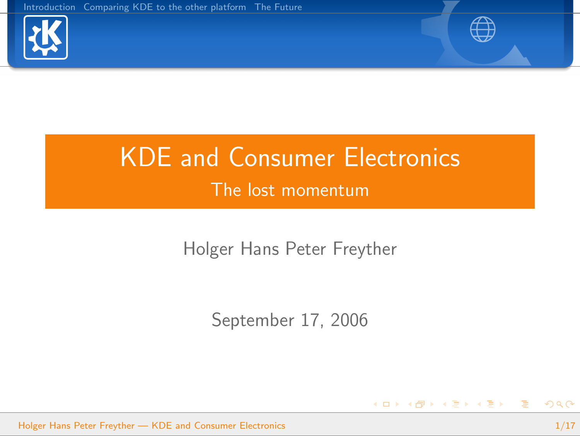



<span id="page-0-0"></span>K ロ ▶ K @ ▶ K 경 ▶ K 경 ▶ │ 경

# KDE and Consumer Electronics The lost momentum

Holger Hans Peter Freyther

September 17, 2006

Holger Hans Peter Freyther — [KDE and Consumer Electronics](#page-16-0) 1/17 and 1/17 and 1/17 and 1/17 and 1/17 and 1/17 and 1/17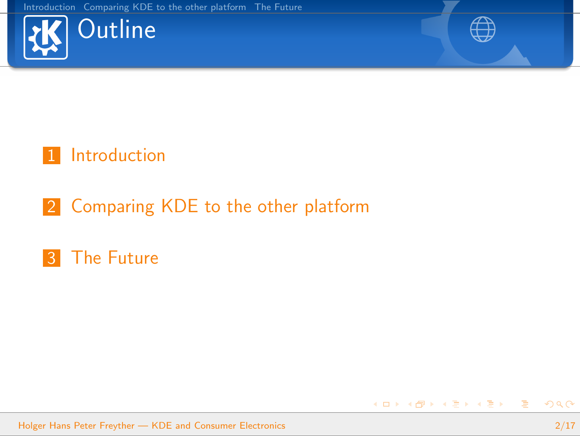



K ロ ▶ K @ ▶ K 경 ▶ K 경 ▶ │ 경

### 1 [Introduction](#page-2-0)

### 2 [Comparing KDE to the other platform](#page-8-0)

### **3** [The Future](#page-13-0)

Holger Hans Peter Freyther — [KDE and Consumer Electronics](#page-0-0) 2/17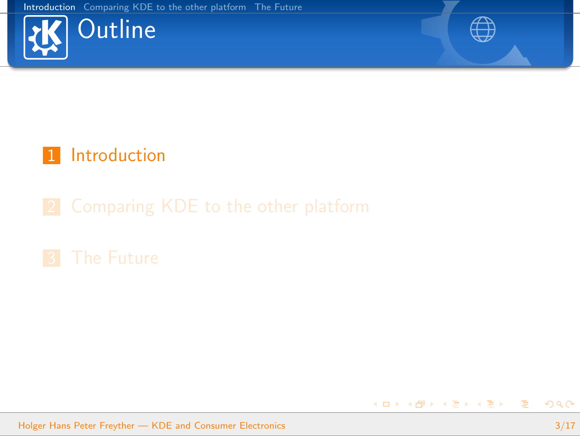



メロメ メタメ メミメ メミメー

### 1 [Introduction](#page-2-0)

Holger Hans Peter Freyther — [KDE and Consumer Electronics](#page-0-0) 3/17

<span id="page-2-0"></span>活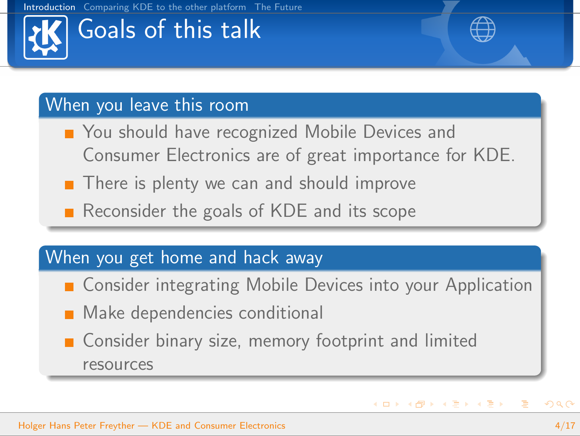# Goals of this talk

### When you leave this room

- You should have recognized Mobile Devices and Consumer Electronics are of great importance for KDE.
- $\blacksquare$  There is plenty we can and should improve
- Reconsider the goals of KDE and its scope

### When you get home and hack away

- Consider integrating Mobile Devices into your Application
- **Make dependencies conditional**
- Consider binary size, memory footprint and limited resources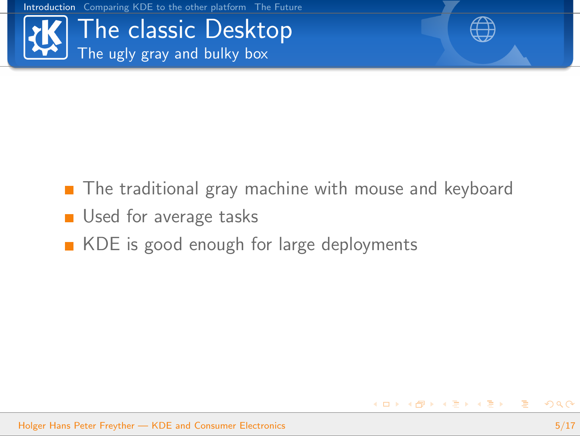

イロン イ部ン イモン イモン

- The traditional gray machine with mouse and keyboard
- Used for average tasks
- KDE is good enough for large deployments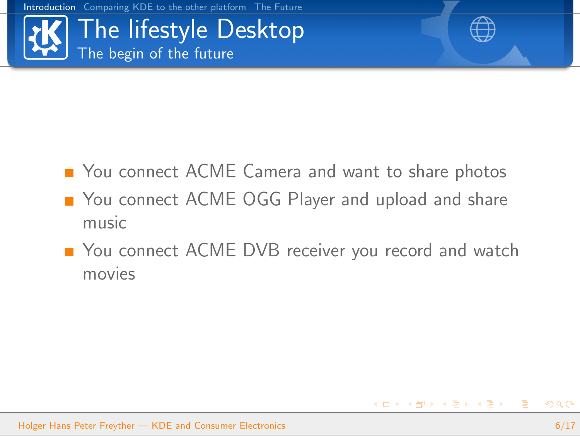

- You connect ACME Camera and want to share photos
- You connect ACME OGG Player and upload and share music
- You connect ACME DVB receiver you record and watch movies

 $\left\{ \begin{array}{ccc} \square & \rightarrow & \left\langle \bigoplus \right. \right. & \rightarrow & \left\langle \bigtriangledown \right. & \rightarrow & \left\langle \bigtriangledown \right. & \rightarrow & \left\langle \bigtriangledown \right. \right. \\ \square & \rightarrow & \left\langle \bigodot \right. & \square & \rightarrow & \left\langle \bigtriangleup \right. \end{array} \right.$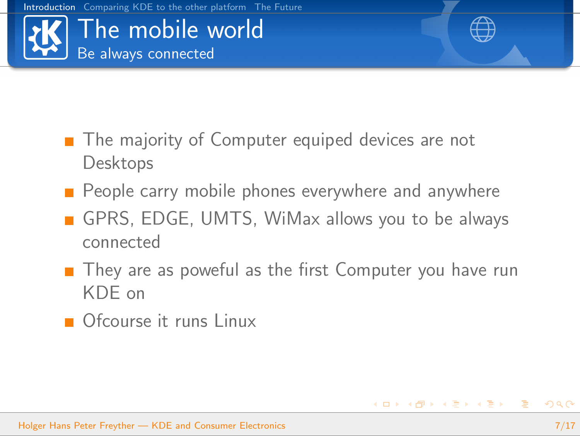



 $\left\{ \begin{array}{ccc} 1 & 0 & 0 \\ 0 & 1 & 0 \end{array} \right.$ 

- The majority of Computer equiped devices are not Desktops
- $\blacksquare$  People carry mobile phones everywhere and anywhere
- GPRS, EDGE, UMTS, WiMax allows you to be always connected
- $\blacksquare$  They are as poweful as the first Computer you have run KDE on
- **Ofcourse it runs Linux**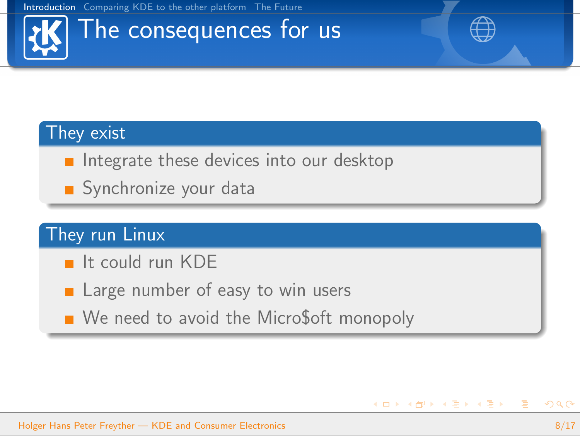# The consequences for us

#### They exist

- Integrate these devices into our desktop
- Synchronize your data

### They run Linux

- $\blacksquare$  It could run KDF
- **Large number of easy to win users**
- We need to avoid the Micro\$oft monopoly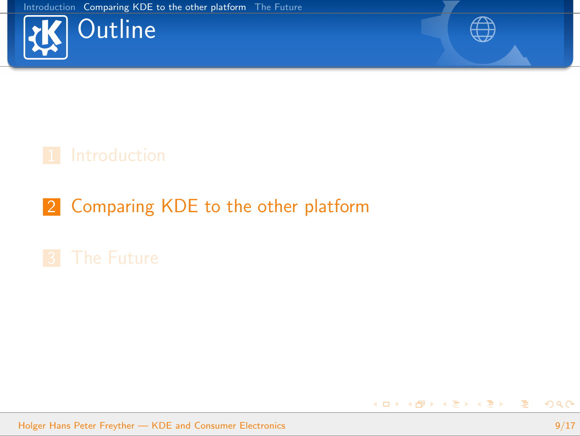



メロメ メタメ メミメ メミメー

### 2 [Comparing KDE to the other platform](#page-8-0)

Holger Hans Peter Freyther — [KDE and Consumer Electronics](#page-0-0) 9/17

<span id="page-8-0"></span>活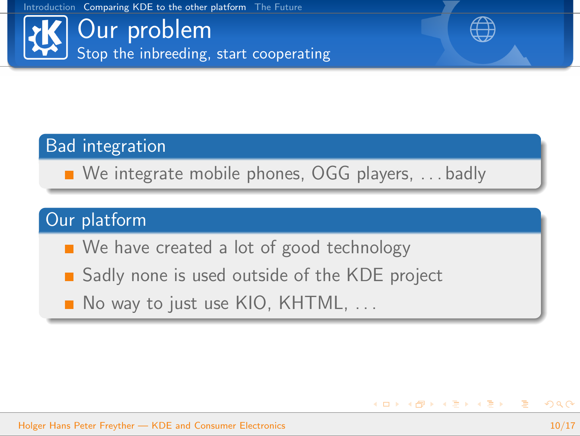Our problem Stop the inbreeding, start cooperating



**K ロ ▶ K 御 ▶ K 唐 ▶ K 唐 ▶ │ 唐** 

#### Bad integration

We integrate mobile phones, OGG players, ... badly

### Our platform

- We have created a lot of good technology
- Sadly none is used outside of the KDE project
- $\blacksquare$  No way to just use KIO, KHTML,  $\ldots$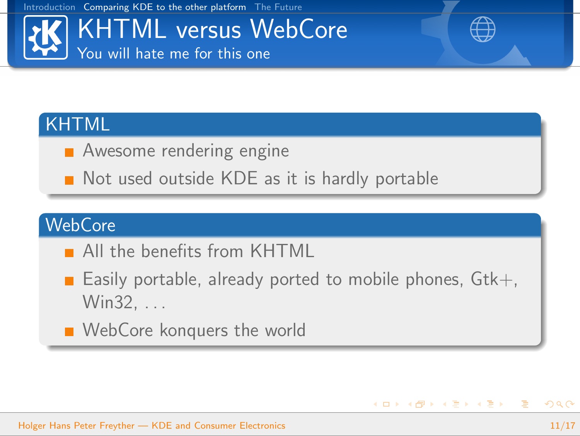

イロト イ部 トイをトイをトー を

#### KHTML

- **Awesome rendering engine**
- Not used outside KDE as it is hardly portable

### **WebCore**

- **All the benefits from KHTML**
- **Easily portable, already ported to mobile phones,**  $Gtk+$ **,** Win32. . . .
- **NebCore konquers the world**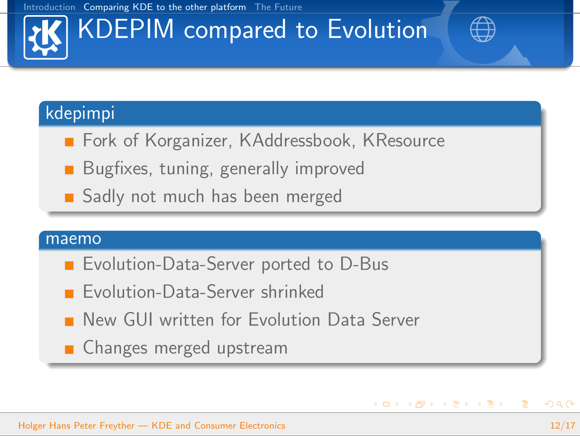# KDEPIM compared to Evolution

#### kdepimpi

- **Fork of Korganizer, KAddressbook, KResource**
- **Bugfixes, tuning, generally improved**
- Sadly not much has been merged

#### maemo

- Evolution-Data-Server ported to D-Bus
	- Evolution-Data-Server shrinked
- **New GUI written for Evolution Data Server**
- **Changes merged upstream**

 $\equiv$ 

 $\left\{ \begin{array}{ccc} \square & \rightarrow & \left\langle \bigoplus \right. \right. & \rightarrow & \left\langle \bigtriangledown \right. & \rightarrow & \left\langle \bigtriangledown \right. & \rightarrow & \left\langle \bigtriangledown \right. \right. \\ \square & \rightarrow & \left\langle \bigodot \right. & \square & \rightarrow & \left\langle \bigtriangleup \right. \end{array} \right.$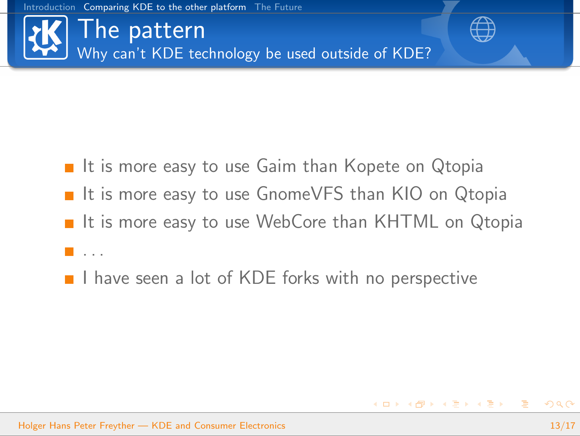

The pattern Why can't KDE technology be used outside of KDE?



- $\blacksquare$  It is more easy to use Gaim than Kopete on Qtopia ■ It is more easy to use GnomeVFS than KIO on Qtopia ■ It is more easy to use WebCore than KHTML on Qtopia **.** . . .
- $\blacksquare$  I have seen a lot of KDE forks with no perspective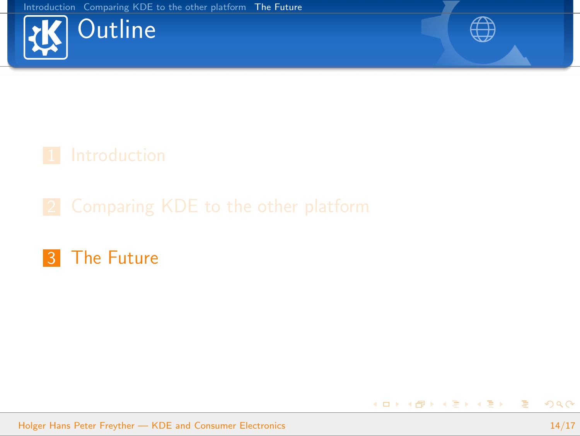



メロメ メタメ メミメ メミメー

### **3** [The Future](#page-13-0)

Holger Hans Peter Freyther — [KDE and Consumer Electronics](#page-0-0) 14/17

<span id="page-13-0"></span>活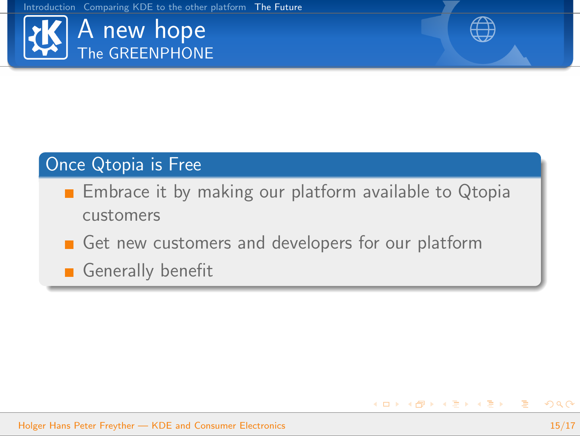



イロト イ部 トイをトイをトー を

#### Once Qtopia is Free

- **Embrace it by making our platform available to Qtopia** customers
- Get new customers and developers for our platform

Generally benefit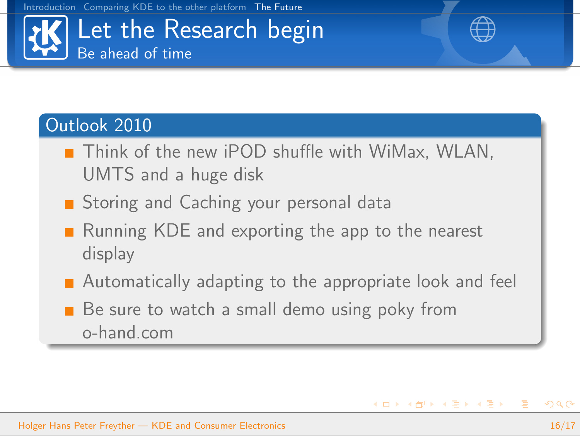

#### Outlook 2010

- Think of the new iPOD shuffle with WiMax, WLAN, UMTS and a huge disk
- Storing and Caching your personal data
- Running KDE and exporting the app to the nearest display
- **Automatically adapting to the appropriate look and feel**
- Be sure to watch a small demo using poky from o-hand.com